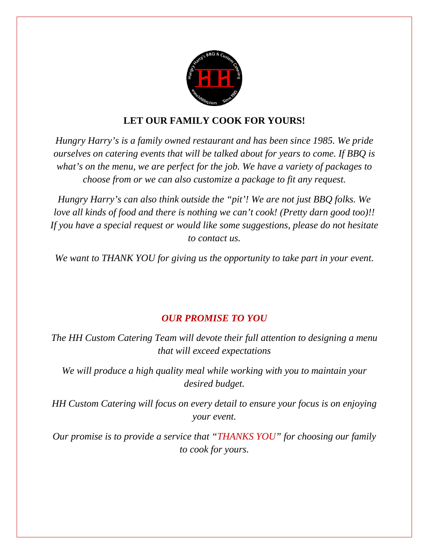

## **LET OUR FAMILY COOK FOR YOURS!**

*Hungry Harry's is a family owned restaurant and has been since 1985. We pride ourselves on catering events that will be talked about for years to come. If BBQ is what's on the menu, we are perfect for the job. We have a variety of packages to choose from or we can also customize a package to fit any request.*

*Hungry Harry's can also think outside the "pit'! We are not just BBQ folks. We love all kinds of food and there is nothing we can't cook! (Pretty darn good too)!! If you have a special request or would like some suggestions, please do not hesitate to contact us.*

*We want to THANK YOU for giving us the opportunity to take part in your event.*

## *OUR PROMISE TO YOU*

*The HH Custom Catering Team will devote their full attention to designing a menu that will exceed expectations*

*We will produce a high quality meal while working with you to maintain your desired budget.*

*HH Custom Catering will focus on every detail to ensure your focus is on enjoying your event.*

*Our promise is to provide a service that "THANKS YOU" for choosing our family to cook for yours.*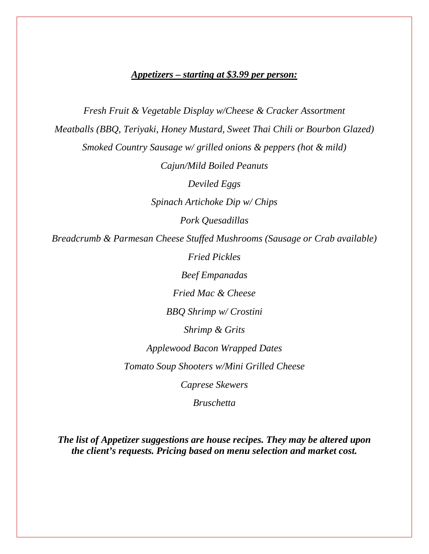## *Appetizers – starting at \$3.99 per person:*

*Fresh Fruit & Vegetable Display w/Cheese & Cracker Assortment Meatballs (BBQ, Teriyaki, Honey Mustard, Sweet Thai Chili or Bourbon Glazed) Smoked Country Sausage w/ grilled onions & peppers (hot & mild) Cajun/Mild Boiled Peanuts Deviled Eggs Spinach Artichoke Dip w/ Chips Pork Quesadillas Breadcrumb & Parmesan Cheese Stuffed Mushrooms (Sausage or Crab available) Fried Pickles Beef Empanadas Fried Mac & Cheese BBQ Shrimp w/ Crostini Shrimp & Grits Applewood Bacon Wrapped Dates Tomato Soup Shooters w/Mini Grilled Cheese Caprese Skewers Bruschetta*

*The list of Appetizer suggestions are house recipes. They may be altered upon the client's requests. Pricing based on menu selection and market cost.*